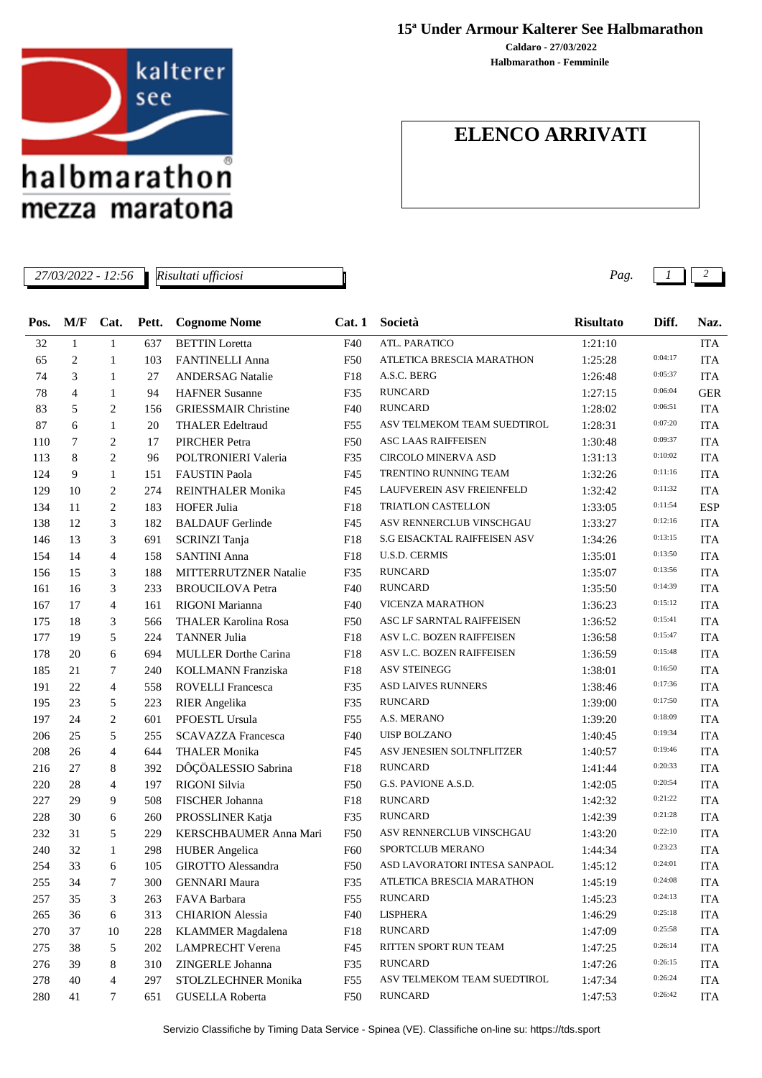

mezza maratona

*Risultati ufficiosi*

## **15ª Under Armour Kalterer See Halbmarathon**

**Halbmarathon - Femminile Caldaro - 27/03/2022**

## **ELENCO ARRIVATI**

*27/03/2022 - 12:56 Pag. 1 2*

|      | M/F            |                |       |                              |                 | Società                       |                  | Diff.   |            |
|------|----------------|----------------|-------|------------------------------|-----------------|-------------------------------|------------------|---------|------------|
| Pos. |                | Cat.           | Pett. | <b>Cognome Nome</b>          | Cat.1           |                               | <b>Risultato</b> |         | Naz.       |
| 32   | $\mathbf{1}$   | $\mathbf{1}$   | 637   | <b>BETTIN</b> Loretta        | F40             | ATL. PARATICO                 | 1:21:10          | 0:04:17 | <b>ITA</b> |
| 65   | 2              | 1              | 103   | <b>FANTINELLI Anna</b>       | F <sub>50</sub> | ATLETICA BRESCIA MARATHON     | 1:25:28          |         | <b>ITA</b> |
| 74   | 3              | 1              | 27    | <b>ANDERSAG Natalie</b>      | F18             | A.S.C. BERG                   | 1:26:48          | 0:05:37 | <b>ITA</b> |
| 78   | $\overline{4}$ | 1              | 94    | <b>HAFNER Susanne</b>        | F35             | <b>RUNCARD</b>                | 1:27:15          | 0:06:04 | <b>GER</b> |
| 83   | 5              | 2              | 156   | <b>GRIESSMAIR Christine</b>  | F40             | <b>RUNCARD</b>                | 1:28:02          | 0:06:51 | <b>ITA</b> |
| 87   | 6              | $\mathbf{1}$   | 20    | <b>THALER Edeltraud</b>      | F <sub>55</sub> | ASV TELMEKOM TEAM SUEDTIROL   | 1:28:31          | 0:07:20 | <b>ITA</b> |
| 110  | 7              | 2              | 17    | <b>PIRCHER Petra</b>         | F50             | <b>ASC LAAS RAIFFEISEN</b>    | 1:30:48          | 0:09:37 | <b>ITA</b> |
| 113  | 8              | $\overline{2}$ | 96    | POLTRONIERI Valeria          | F35             | <b>CIRCOLO MINERVA ASD</b>    | 1:31:13          | 0:10:02 | <b>ITA</b> |
| 124  | 9              | $\mathbf{1}$   | 151   | <b>FAUSTIN Paola</b>         | F45             | TRENTINO RUNNING TEAM         | 1:32:26          | 0:11:16 | <b>ITA</b> |
| 129  | 10             | 2              | 274   | <b>REINTHALER Monika</b>     | F45             | LAUFVEREIN ASV FREIENFELD     | 1:32:42          | 0:11:32 | <b>ITA</b> |
| 134  | 11             | 2              | 183   | <b>HOFER Julia</b>           | F18             | TRIATLON CASTELLON            | 1:33:05          | 0:11:54 | <b>ESP</b> |
| 138  | 12             | 3              | 182   | <b>BALDAUF Gerlinde</b>      | F45             | ASV RENNERCLUB VINSCHGAU      | 1:33:27          | 0:12:16 | <b>ITA</b> |
| 146  | 13             | 3              | 691   | SCRINZI Tanja                | F18             | S.G EISACKTAL RAIFFEISEN ASV  | 1:34:26          | 0:13:15 | <b>ITA</b> |
| 154  | 14             | $\overline{4}$ | 158   | <b>SANTINI Anna</b>          | F18             | <b>U.S.D. CERMIS</b>          | 1:35:01          | 0:13:50 | <b>ITA</b> |
| 156  | 15             | 3              | 188   | <b>MITTERRUTZNER Natalie</b> | F35             | <b>RUNCARD</b>                | 1:35:07          | 0:13:56 | <b>ITA</b> |
| 161  | 16             | 3              | 233   | <b>BROUCILOVA Petra</b>      | F40             | <b>RUNCARD</b>                | 1:35:50          | 0:14:39 | <b>ITA</b> |
| 167  | 17             | 4              | 161   | RIGONI Marianna              | F40             | <b>VICENZA MARATHON</b>       | 1:36:23          | 0:15:12 | <b>ITA</b> |
| 175  | 18             | 3              | 566   | <b>THALER Karolina Rosa</b>  | <b>F50</b>      | ASC LF SARNTAL RAIFFEISEN     | 1:36:52          | 0:15:41 | <b>ITA</b> |
| 177  | 19             | 5              | 224   | <b>TANNER Julia</b>          | F18             | ASV L.C. BOZEN RAIFFEISEN     | 1:36:58          | 0:15:47 | <b>ITA</b> |
| 178  | 20             | 6              | 694   | <b>MULLER Dorthe Carina</b>  | F18             | ASV L.C. BOZEN RAIFFEISEN     | 1:36:59          | 0:15:48 | <b>ITA</b> |
| 185  | 21             | 7              | 240   | <b>KOLLMANN Franziska</b>    | F18             | <b>ASV STEINEGG</b>           | 1:38:01          | 0:16:50 | <b>ITA</b> |
| 191  | 22             | 4              | 558   | <b>ROVELLI Francesca</b>     | F35             | <b>ASD LAIVES RUNNERS</b>     | 1:38:46          | 0:17:36 | <b>ITA</b> |
| 195  | 23             | 5              | 223   | <b>RIER</b> Angelika         | F35             | <b>RUNCARD</b>                | 1:39:00          | 0:17:50 | <b>ITA</b> |
| 197  | 24             | $\overline{c}$ | 601   | PFOESTL Ursula               | F <sub>55</sub> | A.S. MERANO                   | 1:39:20          | 0:18:09 | <b>ITA</b> |
| 206  | 25             | 5              | 255   | <b>SCAVAZZA Francesca</b>    | F40             | <b>UISP BOLZANO</b>           | 1:40:45          | 0:19:34 | <b>ITA</b> |
| 208  | 26             | 4              | 644   | <b>THALER Monika</b>         | F45             | ASV JENESIEN SOLTNFLITZER     | 1:40:57          | 0:19:46 | <b>ITA</b> |
| 216  | 27             | 8              | 392   | DÔÇÖALESSIO Sabrina          | F18             | <b>RUNCARD</b>                | 1:41:44          | 0:20:33 | <b>ITA</b> |
| 220  | 28             | 4              | 197   | RIGONI Silvia                | <b>F50</b>      | G.S. PAVIONE A.S.D.           | 1:42:05          | 0:20:54 | <b>ITA</b> |
| 227  | 29             | 9              | 508   | FISCHER Johanna              | F18             | <b>RUNCARD</b>                | 1:42:32          | 0:21:22 | <b>ITA</b> |
| 228  | 30             | 6              | 260   | PROSSLINER Katja             | F35             | <b>RUNCARD</b>                | 1:42:39          | 0:21:28 | <b>ITA</b> |
| 232  | 31             | 5              | 229   | KERSCHBAUMER Anna Mari       | <b>F50</b>      | ASV RENNERCLUB VINSCHGAU      | 1:43:20          | 0:22:10 | <b>ITA</b> |
| 240  | 32             | $\mathbf{1}$   | 298   | <b>HUBER</b> Angelica        | F60             | SPORTCLUB MERANO              | 1:44:34          | 0:23:23 | <b>ITA</b> |
| 254  | 33             | 6              | 105   | GIROTTO Alessandra           | F50             | ASD LAVORATORI INTESA SANPAOL | 1:45:12          | 0:24:01 | $\rm ITA$  |
| 255  | 34             | 7              | 300   | <b>GENNARI Maura</b>         | F35             | ATLETICA BRESCIA MARATHON     | 1:45:19          | 0:24:08 | <b>ITA</b> |
| 257  | 35             | 3              | 263   | FAVA Barbara                 | F55             | <b>RUNCARD</b>                | 1:45:23          | 0:24:13 | <b>ITA</b> |
| 265  | 36             | 6              | 313   | <b>CHIARION Alessia</b>      | F40             | LISPHERA                      | 1:46:29          | 0:25:18 | <b>ITA</b> |
| 270  | 37             | 10             | 228   | <b>KLAMMER</b> Magdalena     | F18             | <b>RUNCARD</b>                | 1:47:09          | 0:25:58 | <b>ITA</b> |
| 275  | 38             | 5              | 202   | <b>LAMPRECHT</b> Verena      | F45             | RITTEN SPORT RUN TEAM         | 1:47:25          | 0:26:14 | <b>ITA</b> |
| 276  | 39             | 8              | 310   | ZINGERLE Johanna             | F35             | <b>RUNCARD</b>                | 1:47:26          | 0:26:15 | <b>ITA</b> |
| 278  | 40             | 4              | 297   | STOLZLECHNER Monika          | F55             | ASV TELMEKOM TEAM SUEDTIROL   | 1:47:34          | 0:26:24 | <b>ITA</b> |
| 280  | 41             | 7              | 651   | <b>GUSELLA Roberta</b>       | F50             | <b>RUNCARD</b>                | 1:47:53          | 0:26:42 | <b>ITA</b> |